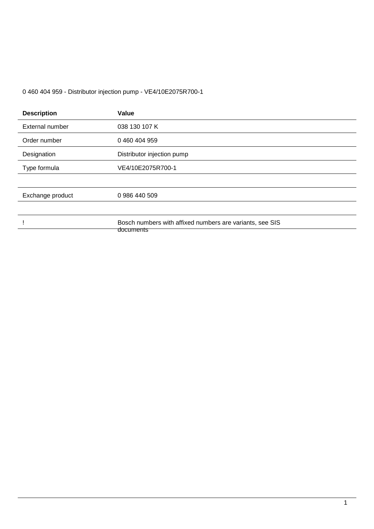#### 0 460 404 959 - Distributor injection pump - VE4/10E2075R700-1

| <b>Description</b> | Value                                                    |
|--------------------|----------------------------------------------------------|
| External number    | 038 130 107 K                                            |
| Order number       | 0460404959                                               |
| Designation        | Distributor injection pump                               |
| Type formula       | VE4/10E2075R700-1                                        |
|                    |                                                          |
| Exchange product   | 0 986 440 509                                            |
|                    |                                                          |
|                    | Bosch numbers with affixed numbers are variants, see SIS |
|                    | documents                                                |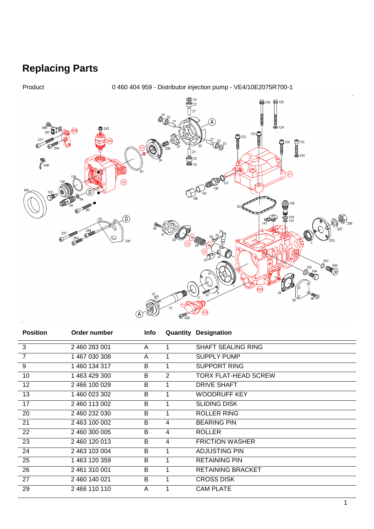

| <b>Position</b> | Order number  | Info |   | <b>Quantity Designation</b> |
|-----------------|---------------|------|---|-----------------------------|
| 3               | 2 460 283 001 | A    |   | <b>SHAFT SEALING RING</b>   |
| $\overline{7}$  | 1 467 030 308 | A    |   | <b>SUPPLY PUMP</b>          |
| 9               | 1 460 134 317 | B    | 1 | <b>SUPPORT RING</b>         |
| 10              | 1 463 429 300 | B    | 2 | <b>TORX FLAT-HEAD SCREW</b> |
| 12 <sup>°</sup> | 2 466 100 029 | B    | 1 | DRIVE SHAFT                 |
| 13              | 1 460 023 302 | В    |   | <b>WOODRUFF KEY</b>         |
| 17              | 2 460 113 002 | B    |   | <b>SLIDING DISK</b>         |
| 20              | 2 460 232 030 | В    |   | <b>ROLLER RING</b>          |
| 21              | 2 463 100 002 | B    | 4 | <b>BEARING PIN</b>          |
| 22              | 2 460 300 005 | B    | 4 | <b>ROLLER</b>               |
| 23              | 2 460 120 013 | B    | 4 | <b>FRICTION WASHER</b>      |
| 24              | 2 463 103 004 | B    | 1 | <b>ADJUSTING PIN</b>        |
| 25              | 1 463 120 359 | B    |   | <b>RETAINING PIN</b>        |
| 26              | 2 461 310 001 | B    |   | <b>RETAINING BRACKET</b>    |
| 27              | 2 460 140 021 | B    |   | <b>CROSS DISK</b>           |
| 29              | 2 466 110 110 | A    |   | <b>CAM PLATE</b>            |
|                 |               |      |   |                             |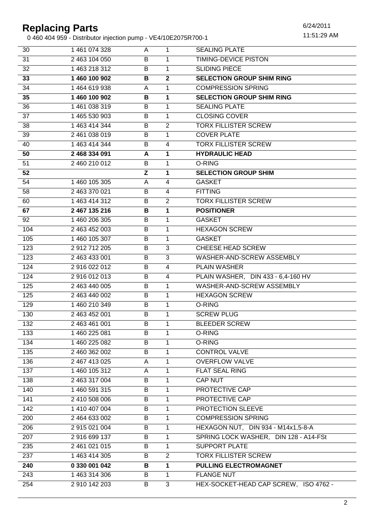0 460 404 959 - Distributor injection pump - VE4/10E2075R700-1 11:50:29 AM

| 30  | 1 461 074 328 | A | 1              | <b>SEALING PLATE</b>                  |
|-----|---------------|---|----------------|---------------------------------------|
| 31  | 2 463 104 050 | B | 1              | TIMING-DEVICE PISTON                  |
| 32  | 1 463 218 312 | B | 1              | <b>SLIDING PIECE</b>                  |
| 33  | 1 460 100 902 | B | $\mathbf{2}$   | <b>SELECTION GROUP SHIM RING</b>      |
| 34  | 1464619938    | A | 1              | <b>COMPRESSION SPRING</b>             |
| 35  | 1 460 100 902 | В | 1              | <b>SELECTION GROUP SHIM RING</b>      |
| 36  | 1 461 038 319 | B | 1              | <b>SEALING PLATE</b>                  |
| 37  | 1 465 530 903 | B | 1              | <b>CLOSING COVER</b>                  |
| 38  | 1 463 414 344 | B | $\overline{2}$ | <b>TORX FILLISTER SCREW</b>           |
| 39  | 2 461 038 019 | B | 1              | <b>COVER PLATE</b>                    |
| 40  | 1 463 414 344 | B | 4              | <b>TORX FILLISTER SCREW</b>           |
| 50  | 2 468 334 091 | A | 1              | <b>HYDRAULIC HEAD</b>                 |
| 51  | 2 460 210 012 | В | 1              | O-RING                                |
| 52  |               | Z | 1              | <b>SELECTION GROUP SHIM</b>           |
| 54  | 1 460 105 305 | A | $\overline{4}$ | <b>GASKET</b>                         |
| 58  | 2 463 370 021 | B | $\overline{4}$ | <b>FITTING</b>                        |
| 60  | 1 463 414 312 | B | $\overline{2}$ | <b>TORX FILLISTER SCREW</b>           |
| 67  | 2 467 135 216 | В | 1              | <b>POSITIONER</b>                     |
| 92  | 1 460 206 305 | B | 1              | <b>GASKET</b>                         |
| 104 | 2 463 452 003 | B | $\mathbf{1}$   | <b>HEXAGON SCREW</b>                  |
| 105 | 1 460 105 307 | B | 1              | <b>GASKET</b>                         |
| 123 | 2 912 712 205 | B | 3              | CHEESE HEAD SCREW                     |
| 123 | 2 463 433 001 | B | 3              | WASHER-AND-SCREW ASSEMBLY             |
| 124 | 2916022012    | B | $\overline{4}$ | PLAIN WASHER                          |
| 124 | 2916012013    | B | 4              | PLAIN WASHER, DIN 433 - 6,4-160 HV    |
| 125 | 2 463 440 005 | B | 1              | WASHER-AND-SCREW ASSEMBLY             |
| 125 | 2 463 440 002 | B | 1              | <b>HEXAGON SCREW</b>                  |
| 129 | 1 460 210 349 | B | $\mathbf{1}$   | O-RING                                |
| 130 | 2 463 452 001 | B | 1              | <b>SCREW PLUG</b>                     |
| 132 | 2 463 461 001 | B | 1              | <b>BLEEDER SCREW</b>                  |
| 133 | 1 460 225 081 | B | 1              | O-RING                                |
| 134 | 1 460 225 082 | B | 1              | O-RING                                |
| 135 | 2 460 362 002 | B | 1              | <b>CONTROL VALVE</b>                  |
| 136 | 2 467 413 025 | A | $\mathbf{1}$   | <b>OVERFLOW VALVE</b>                 |
| 137 | 1 460 105 312 | A | 1              | <b>FLAT SEAL RING</b>                 |
| 138 | 2 463 317 004 | B | $\mathbf{1}$   | CAP NUT                               |
| 140 | 1 460 591 315 | B | 1              | PROTECTIVE CAP                        |
| 141 | 2 410 508 006 | B | $\mathbf{1}$   | PROTECTIVE CAP                        |
| 142 | 1 410 407 004 | B | $\mathbf 1$    | PROTECTION SLEEVE                     |
| 200 | 2 464 633 002 | B | $\mathbf{1}$   | <b>COMPRESSION SPRING</b>             |
| 206 | 2 915 021 004 | B | 1              | HEXAGON NUT, DIN 934 - M14x1,5-8-A    |
| 207 | 2916699137    | B | $\mathbf 1$    | SPRING LOCK WASHER, DIN 128 - A14-FSt |
| 235 | 2 461 021 015 | B | $\mathbf 1$    | <b>SUPPORT PLATE</b>                  |
| 237 | 1 463 414 305 | B | $\overline{2}$ | <b>TORX FILLISTER SCREW</b>           |
| 240 | 0 330 001 042 | В | 1              | <b>PULLING ELECTROMAGNET</b>          |
| 243 | 1 463 314 306 | B | $\mathbf{1}$   | <b>FLANGE NUT</b>                     |
| 254 | 2 910 142 203 | B | 3              | HEX-SOCKET-HEAD CAP SCREW, ISO 4762 - |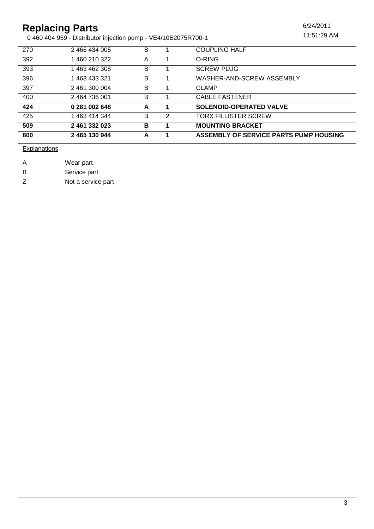0 460 404 959 - Distributor injection pump - VE4/10E2075R700-1 11:50:29 AM

6/24/2011

| 270 | 2 466 434 005 | B |   | <b>COUPLING HALF</b>                   |
|-----|---------------|---|---|----------------------------------------|
| 392 | 1 460 210 322 | A |   | O-RING                                 |
| 393 | 1 463 462 308 | B |   | <b>SCREW PLUG</b>                      |
| 396 | 1 463 433 321 | B |   | WASHER-AND-SCREW ASSEMBLY              |
| 397 | 2 461 300 004 | B |   | <b>CLAMP</b>                           |
| 400 | 2 464 736 001 | В |   | <b>CABLE FASTENER</b>                  |
| 424 | 0 281 002 648 | A | 1 | <b>SOLENOID-OPERATED VALVE</b>         |
| 425 | 1 463 414 344 | B | 2 | <b>TORX FILLISTER SCREW</b>            |
| 509 | 2 461 332 023 | В |   | <b>MOUNTING BRACKET</b>                |
| 800 | 2 465 130 944 | A |   | ASSEMBLY OF SERVICE PARTS PUMP HOUSING |

**Explanations** 

- A Wear part
- B Service part

Z Not a service part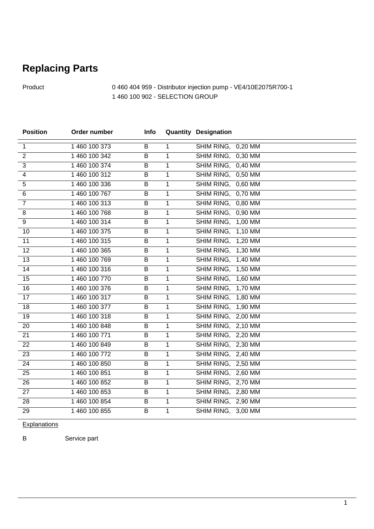Product 0 460 404 959 - Distributor injection pump - VE4/10E2075R700-1 1 460 100 902 - SELECTION GROUP

| <b>Position</b> | Order number  | Info           |                | <b>Quantity Designation</b> |
|-----------------|---------------|----------------|----------------|-----------------------------|
| 1               | 1 460 100 373 | B              | 1              | SHIM RING, 0,20 MM          |
| $\overline{2}$  | 1 460 100 342 | В              | $\mathbf{1}$   | SHIM RING, 0,30 MM          |
| $\overline{3}$  | 1 460 100 374 | B              | $\mathbf{1}$   | SHIM RING, 0,40 MM          |
| $\overline{4}$  | 1 460 100 312 | B              | $\mathbf{1}$   | SHIM RING, 0,50 MM          |
| 5               | 1 460 100 336 | B              | 1              | SHIM RING, 0,60 MM          |
| 6               | 1 460 100 767 | B              | $\overline{1}$ | SHIM RING, 0,70 MM          |
| $\overline{7}$  | 1 460 100 313 | B              | 1              | SHIM RING, 0,80 MM          |
| 8               | 1 460 100 768 | B              | $\mathbf{1}$   | SHIM RING, 0,90 MM          |
| $\overline{9}$  | 1 460 100 314 | B              | $\mathbf{1}$   | SHIM RING, 1,00 MM          |
| 10              | 1 460 100 375 | B              | 1              | SHIM RING, 1,10 MM          |
| 11              | 1 460 100 315 | B              | $\mathbf{1}$   | SHIM RING, 1,20 MM          |
| $\overline{12}$ | 1 460 100 365 | B              | $\mathbf{1}$   | SHIM RING, 1,30 MM          |
| 13              | 1 460 100 769 | B              | 1              | SHIM RING, 1,40 MM          |
| 14              | 1 460 100 316 | B              | 1              | SHIM RING, 1,50 MM          |
| 15              | 1 460 100 770 | $\overline{B}$ | $\overline{1}$ | SHIM RING, 1,60 MM          |
| 16              | 1 460 100 376 | B              | 1              | SHIM RING, 1,70 MM          |
| 17              | 1 460 100 317 | B              | $\mathbf{1}$   | SHIM RING, 1,80 MM          |
| 18              | 1 460 100 377 | B              | 1              | SHIM RING, 1,90 MM          |
| 19              | 1 460 100 318 | B              | $\overline{1}$ | SHIM RING, 2,00 MM          |
| 20              | 1 460 100 848 | В              | $\mathbf{1}$   | SHIM RING, 2,10 MM          |
| 21              | 1 460 100 771 | B              | $\mathbf{1}$   | SHIM RING, 2,20 MM          |
| 22              | 1 460 100 849 | B              | 1              | SHIM RING, 2,30 MM          |
| $\overline{23}$ | 1 460 100 772 | B              | $\mathbf{1}$   | SHIM RING, 2,40 MM          |
| 24              | 1 460 100 850 | B              | $\mathbf{1}$   | SHIM RING, 2,50 MM          |
| 25              | 1 460 100 851 | В              | 1              | SHIM RING, 2,60 MM          |
| 26              | 1 460 100 852 | B              | 1              | SHIM RING, 2,70 MM          |
| $\overline{27}$ | 1 460 100 853 | B              | $\mathbf{1}$   | SHIM RING, 2,80 MM          |
| $\overline{28}$ | 1 460 100 854 | $\overline{B}$ | $\overline{1}$ | SHIM RING, 2,90 MM          |
| 29              | 1 460 100 855 | B              | 1              | SHIM RING, 3,00 MM          |

**Explanations** 

B Service part